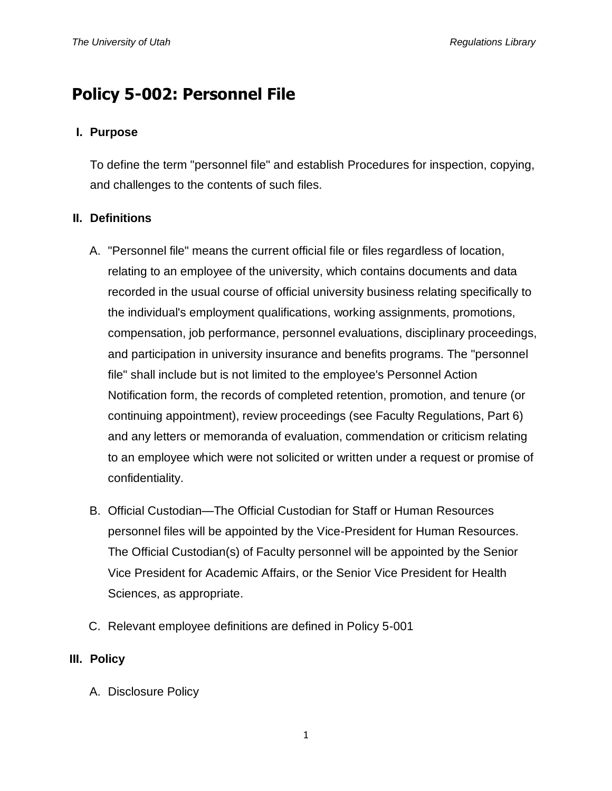# **Policy 5-002: Personnel File**

#### **I. Purpose**

To define the term "personnel file" and establish Procedures for inspection, copying, and challenges to the contents of such files.

#### **II. Definitions**

- A. "Personnel file" means the current official file or files regardless of location, relating to an employee of the university, which contains documents and data recorded in the usual course of official university business relating specifically to the individual's employment qualifications, working assignments, promotions, compensation, job performance, personnel evaluations, disciplinary proceedings, and participation in university insurance and benefits programs. The "personnel file" shall include but is not limited to the employee's Personnel Action Notification form, the records of completed retention, promotion, and tenure (or continuing appointment), review proceedings (see Faculty Regulations, Part 6) and any letters or memoranda of evaluation, commendation or criticism relating to an employee which were not solicited or written under a request or promise of confidentiality.
- B. Official Custodian—The Official Custodian for Staff or Human Resources personnel files will be appointed by the Vice-President for Human Resources. The Official Custodian(s) of Faculty personnel will be appointed by the Senior Vice President for Academic Affairs, or the Senior Vice President for Health Sciences, as appropriate.
- C. Relevant employee definitions are defined in Policy 5-001

## **III. Policy**

A. Disclosure Policy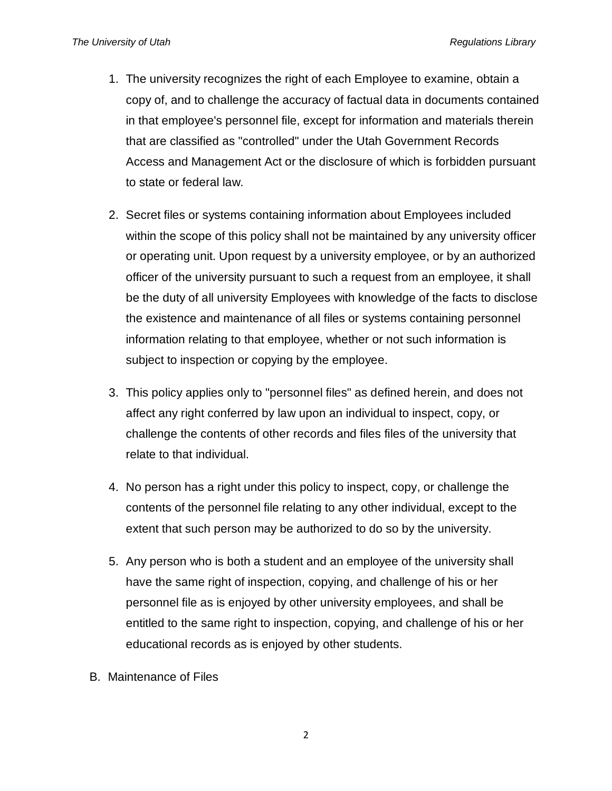- 1. The university recognizes the right of each Employee to examine, obtain a copy of, and to challenge the accuracy of factual data in documents contained in that employee's personnel file, except for information and materials therein that are classified as "controlled" under the Utah Government Records Access and Management Act or the disclosure of which is forbidden pursuant to state or federal law.
- 2. Secret files or systems containing information about Employees included within the scope of this policy shall not be maintained by any university officer or operating unit. Upon request by a university employee, or by an authorized officer of the university pursuant to such a request from an employee, it shall be the duty of all university Employees with knowledge of the facts to disclose the existence and maintenance of all files or systems containing personnel information relating to that employee, whether or not such information is subject to inspection or copying by the employee.
- 3. This policy applies only to "personnel files" as defined herein, and does not affect any right conferred by law upon an individual to inspect, copy, or challenge the contents of other records and files files of the university that relate to that individual.
- 4. No person has a right under this policy to inspect, copy, or challenge the contents of the personnel file relating to any other individual, except to the extent that such person may be authorized to do so by the university.
- 5. Any person who is both a student and an employee of the university shall have the same right of inspection, copying, and challenge of his or her personnel file as is enjoyed by other university employees, and shall be entitled to the same right to inspection, copying, and challenge of his or her educational records as is enjoyed by other students.
- B. Maintenance of Files

2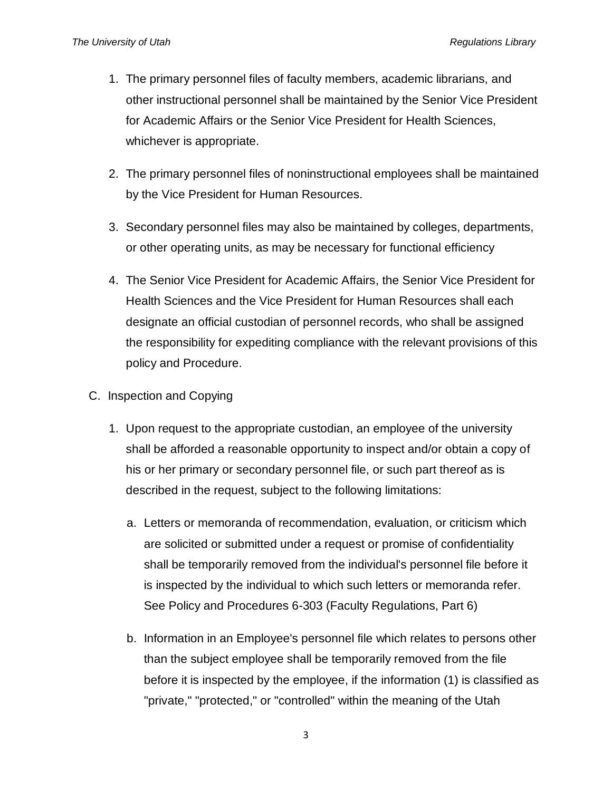- 1. The primary personnel files of faculty members, academic librarians, and other instructional personnel shall be maintained by the Senior Vice President for Academic Affairs or the Senior Vice President for Health Sciences, whichever is appropriate.
- 2. The primary personnel files of noninstructional employees shall be maintained by the Vice President for Human Resources.
- 3. Secondary personnel files may also be maintained by colleges, departments, or other operating units, as may be necessary for functional efficiency
- 4. The Senior Vice President for Academic Affairs, the Senior Vice President for Health Sciences and the Vice President for Human Resources shall each designate an official custodian of personnel records, who shall be assigned the responsibility for expediting compliance with the relevant provisions of this policy and Procedure.
- C. Inspection and Copying
	- 1. Upon request to the appropriate custodian, an employee of the university shall be afforded a reasonable opportunity to inspect and/or obtain a copy of his or her primary or secondary personnel file, or such part thereof as is described in the request, subject to the following limitations:
		- a. Letters or memoranda of recommendation, evaluation, or criticism which are solicited or submitted under a request or promise of confidentiality shall be temporarily removed from the individual's personnel file before it is inspected by the individual to which such letters or memoranda refer. See Policy and Procedures 6-303 (Faculty Regulations, Part 6)
		- b. Information in an Employee's personnel file which relates to persons other than the subject employee shall be temporarily removed from the file before it is inspected by the employee, if the information (1) is classified as "private," "protected," or "controlled" within the meaning of the Utah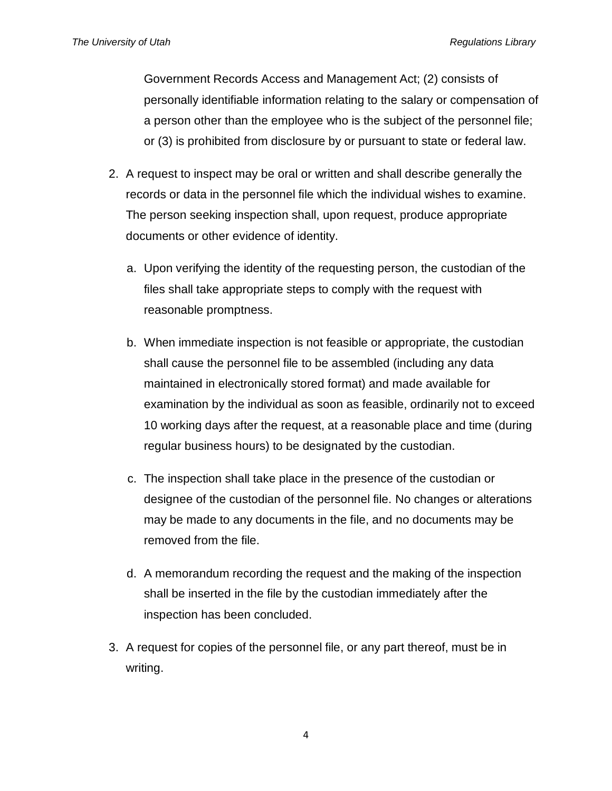Government Records Access and Management Act; (2) consists of personally identifiable information relating to the salary or compensation of a person other than the employee who is the subject of the personnel file; or (3) is prohibited from disclosure by or pursuant to state or federal law.

- 2. A request to inspect may be oral or written and shall describe generally the records or data in the personnel file which the individual wishes to examine. The person seeking inspection shall, upon request, produce appropriate documents or other evidence of identity.
	- a. Upon verifying the identity of the requesting person, the custodian of the files shall take appropriate steps to comply with the request with reasonable promptness.
	- b. When immediate inspection is not feasible or appropriate, the custodian shall cause the personnel file to be assembled (including any data maintained in electronically stored format) and made available for examination by the individual as soon as feasible, ordinarily not to exceed 10 working days after the request, at a reasonable place and time (during regular business hours) to be designated by the custodian.
	- c. The inspection shall take place in the presence of the custodian or designee of the custodian of the personnel file. No changes or alterations may be made to any documents in the file, and no documents may be removed from the file.
	- d. A memorandum recording the request and the making of the inspection shall be inserted in the file by the custodian immediately after the inspection has been concluded.
- 3. A request for copies of the personnel file, or any part thereof, must be in writing.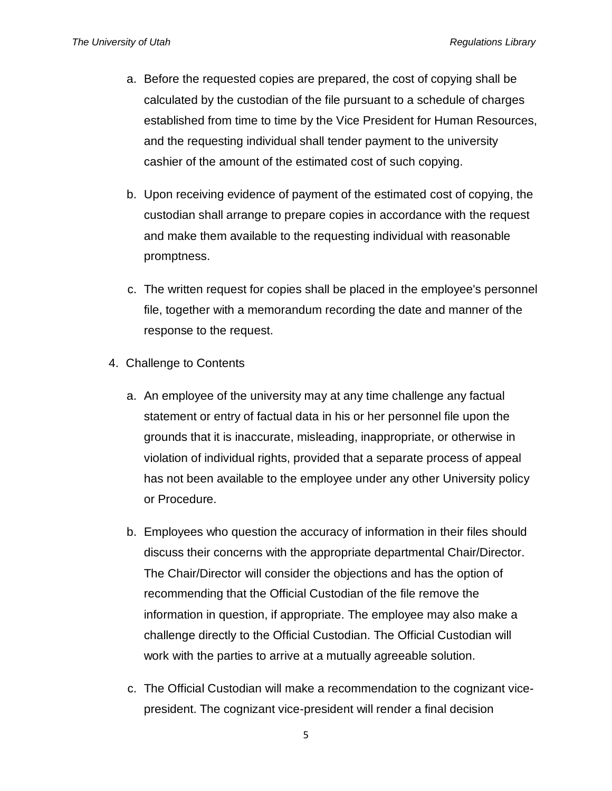- a. Before the requested copies are prepared, the cost of copying shall be calculated by the custodian of the file pursuant to a schedule of charges established from time to time by the Vice President for Human Resources, and the requesting individual shall tender payment to the university cashier of the amount of the estimated cost of such copying.
- b. Upon receiving evidence of payment of the estimated cost of copying, the custodian shall arrange to prepare copies in accordance with the request and make them available to the requesting individual with reasonable promptness.
- c. The written request for copies shall be placed in the employee's personnel file, together with a memorandum recording the date and manner of the response to the request.
- 4. Challenge to Contents
	- a. An employee of the university may at any time challenge any factual statement or entry of factual data in his or her personnel file upon the grounds that it is inaccurate, misleading, inappropriate, or otherwise in violation of individual rights, provided that a separate process of appeal has not been available to the employee under any other University policy or Procedure.
	- b. Employees who question the accuracy of information in their files should discuss their concerns with the appropriate departmental Chair/Director. The Chair/Director will consider the objections and has the option of recommending that the Official Custodian of the file remove the information in question, if appropriate. The employee may also make a challenge directly to the Official Custodian. The Official Custodian will work with the parties to arrive at a mutually agreeable solution.
	- c. The Official Custodian will make a recommendation to the cognizant vicepresident. The cognizant vice-president will render a final decision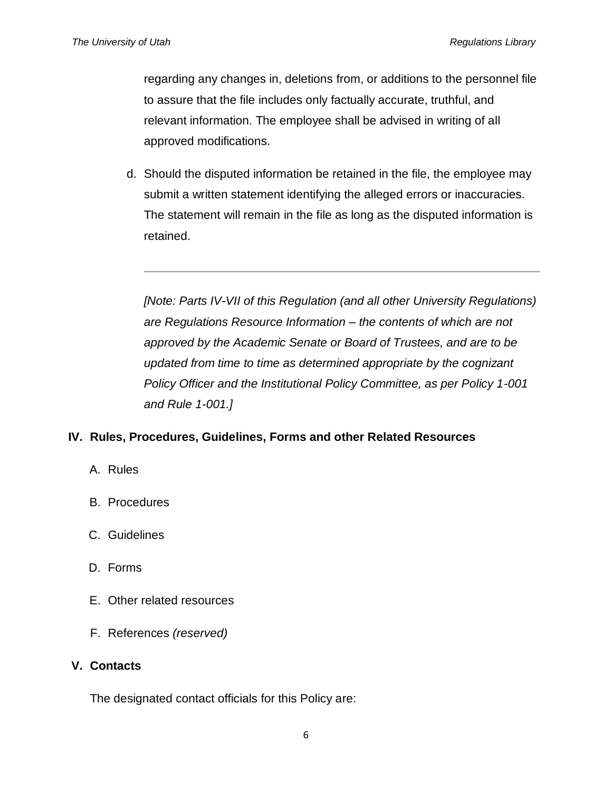regarding any changes in, deletions from, or additions to the personnel file to assure that the file includes only factually accurate, truthful, and relevant information. The employee shall be advised in writing of all approved modifications.

d. Should the disputed information be retained in the file, the employee may submit a written statement identifying the alleged errors or inaccuracies. The statement will remain in the file as long as the disputed information is retained.

*[Note: Parts IV-VII of this Regulation (and all other University Regulations) are Regulations Resource Information – the contents of which are not approved by the Academic Senate or Board of Trustees, and are to be updated from time to time as determined appropriate by the cognizant Policy Officer and the Institutional Policy Committee, as per Policy 1-001 and Rule 1-001.]*

## **IV. Rules, Procedures, Guidelines, Forms and other Related Resources**

- A. Rules
- B. Procedures
- C. Guidelines
- D. Forms
- E. Other related resources
- F. References *(reserved)*

#### **V. Contacts**

The designated contact officials for this Policy are: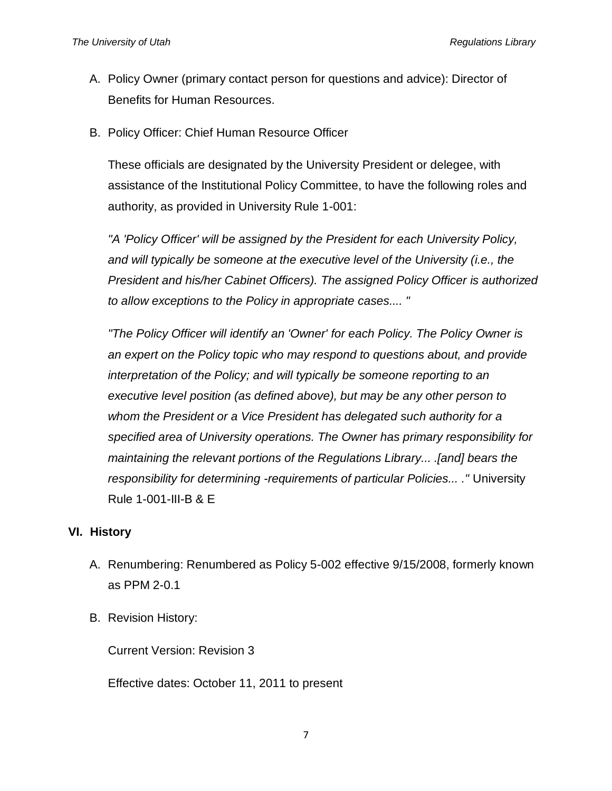- A. Policy Owner (primary contact person for questions and advice): Director of Benefits for Human Resources.
- B. Policy Officer: Chief Human Resource Officer

These officials are designated by the University President or delegee, with assistance of the Institutional Policy Committee, to have the following roles and authority, as provided in University Rule 1-001:

*"A 'Policy Officer' will be assigned by the President for each University Policy, and will typically be someone at the executive level of the University (i.e., the President and his/her Cabinet Officers). The assigned Policy Officer is authorized to allow exceptions to the Policy in appropriate cases.... "*

*"The Policy Officer will identify an 'Owner' for each Policy. The Policy Owner is an expert on the Policy topic who may respond to questions about, and provide interpretation of the Policy; and will typically be someone reporting to an executive level position (as defined above), but may be any other person to whom the President or a Vice President has delegated such authority for a specified area of University operations. The Owner has primary responsibility for maintaining the relevant portions of the Regulations Library... .[and] bears the responsibility for determining -requirements of particular Policies... ."* University Rule 1-001-III-B & E

## **VI. History**

- A. Renumbering: Renumbered as Policy 5-002 effective 9/15/2008, formerly known as PPM 2-0.1
- B. Revision History:

Current Version: Revision 3

Effective dates: October 11, 2011 to present